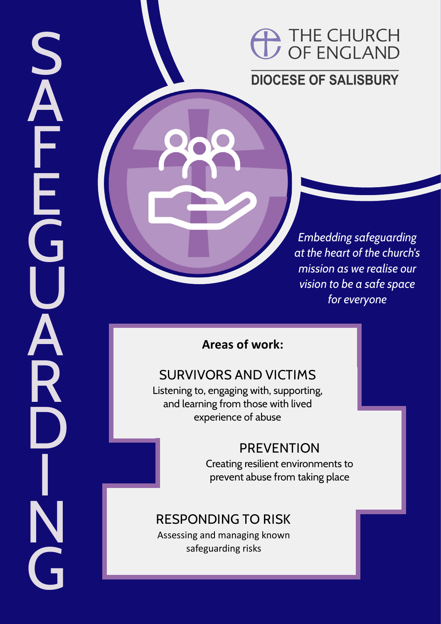## <sup>1</sup> THE CHURCH<br>
THE CHURCH

## **DIOCESE OF SALISBURY**

*Embedding safeguarding at the heart of the church's mission as we realise our vision to be a safe space for everyone*

### **Areas of work:**

**SAFEGUARDING**

ĂR

**SAFFE** 

## **SURVIVORS AND VICTIMS**

Listening to, engaging with, supporting, and learning from those with lived experience of abuse

## **PREVENTION**

Creating resilient environments to prevent abuse from taking place

## **RESPONDING TO RISK**

Assessing and managing known safeguarding risks